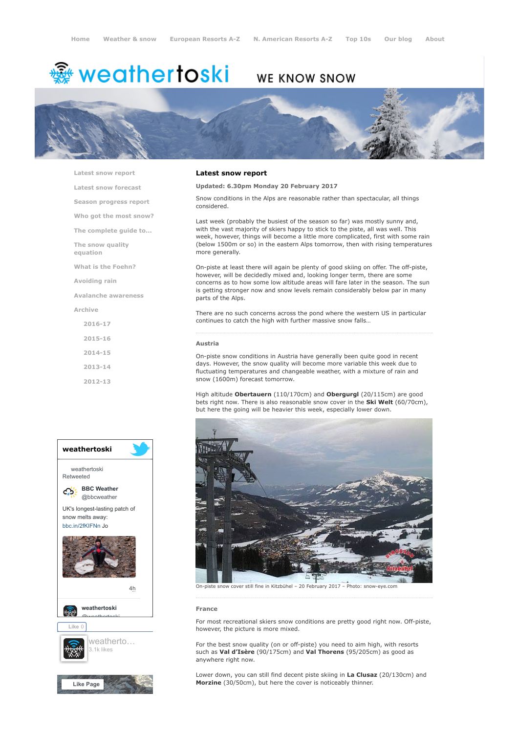# <del>鑾</del> weathertoski

# WE KNOW SNOW



[Latest snow report](https://www.weathertoski.co.uk/weather-snow/latest-snow-report/)

[Latest snow forecast](https://www.weathertoski.co.uk/weather-snow/latest-snow-forecast/)

[Season progress report](https://www.weathertoski.co.uk/weather-snow/season-progress-report/)

[Who got the most snow?](https://www.weathertoski.co.uk/weather-snow/who-got-the-most-snow/)

[The complete guide to...](https://www.weathertoski.co.uk/weather-snow/the-complete-guide-to/)

[The snow quality](https://www.weathertoski.co.uk/weather-snow/the-snow-quality-equation/)

[What is the Foehn?](https://www.weathertoski.co.uk/weather-snow/what-is-the-foehn/)

[Avoiding rain](https://www.weathertoski.co.uk/weather-snow/avoiding-rain/)

equation

[Avalanche awareness](https://www.weathertoski.co.uk/weather-snow/avalanche-awareness/)

[Archive](https://www.weathertoski.co.uk/weather-snow/archive/)

[2016-17](https://www.weathertoski.co.uk/weather-snow/archive/2016-17/) [2015-16](https://www.weathertoski.co.uk/weather-snow/archive/2015-16/) [2014-15](https://www.weathertoski.co.uk/weather-snow/archive/2014-15/) [2013-14](https://www.weathertoski.co.uk/weather-snow/archive/2013-14/)

[2012-13](https://www.weathertoski.co.uk/weather-snow/archive/2012-13/)



# Latest snow report

Updated: 6.30pm Monday 20 February 2017

Snow conditions in the Alps are reasonable rather than spectacular, all things considered.

Last week (probably the busiest of the season so far) was mostly sunny and, with the vast majority of skiers happy to stick to the piste, all was well. This week, however, things will become a little more complicated, first with some rain (below 1500m or so) in the eastern Alps tomorrow, then with rising temperatures more generally.

On-piste at least there will again be plenty of good skiing on offer. The off-piste, however, will be decidedly mixed and, looking longer term, there are some concerns as to how some low altitude areas will fare later in the season. The sun is getting stronger now and snow levels remain considerably below par in many parts of the Alps.

There are no such concerns across the pond where the western US in particular continues to catch the high with further massive snow falls…

#### Austria

On-piste snow conditions in Austria have generally been quite good in recent days. However, the snow quality will become more variable this week due to fluctuating temperatures and changeable weather, with a mixture of rain and snow (1600m) forecast tomorrow.

High altitude Obertauern (110/170cm) and Obergurgl (20/115cm) are good bets right now. There is also reasonable snow cover in the Ski Welt (60/70cm), but here the going will be heavier this week, especially lower down.



On-piste snow cover still fine in Kitzbühel – 20 February 2017 – Photo: snow-eye.com

## France

For most recreational skiers snow conditions are pretty good right now. Off-piste, however, the picture is more mixed.

For the best snow quality (on or off-piste) you need to aim high, with resorts such as Val d'Isère (90/175cm) and Val Thorens (95/205cm) as good as anywhere right now.

Lower down, you can still find decent piste skiing in La Clusaz (20/130cm) and Morzine (30/50cm), but here the cover is noticeably thinner.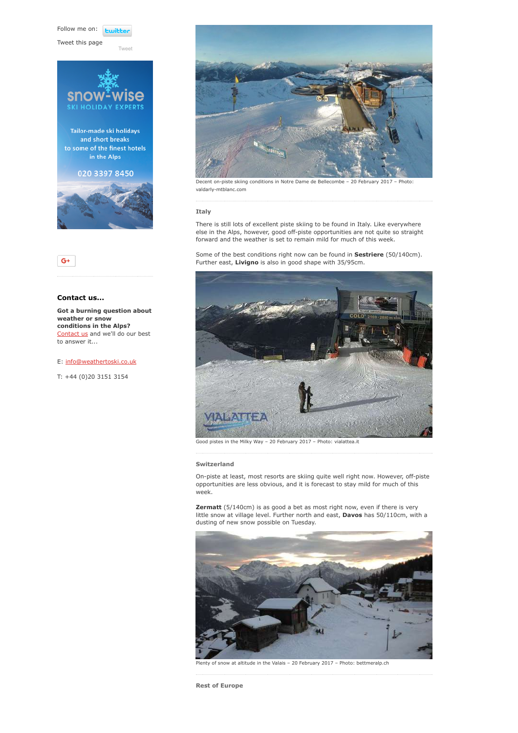Follow me on: **Lwitte** 

[Tweet](https://twitter.com/intent/tweet?original_referer=https%3A%2F%2Fwww.weathertoski.co.uk%2Fweather-snow%2Farchive%2Fsnow-report-20-02-2017%2F&ref_src=twsrc%5Etfw&text=Weather%20to%20ski%20-%20Snow%20report%20-%2020%20February%202017&tw_p=tweetbutton&url=https%3A%2F%2Fwww.weathertoski.co.uk%2Fweather-snow%2Farchive%2Fsnow-report-20-02-2017%2F)

Tweet this page



# $G^+$

# Contact us...

Got a burning question about weather or snow conditions in the Alps? [Contact us](https://www.weathertoski.co.uk/about-1/contact-us/) and we'll do our best to answer it...

# E: [info@weathertoski.co.uk](mailto:fraser@weathertoski.co.uk)

T: +44 (0)20 3151 3154



Decent on-piste skiing conditions in Notre Dame de Bellecombe – 20 February 2017 – Photo: valdarly-mtblanc.com

## Italy

There is still lots of excellent piste skiing to be found in Italy. Like everywhere else in the Alps, however, good off-piste opportunities are not quite so straight forward and the weather is set to remain mild for much of this week.

Some of the best conditions right now can be found in **Sestriere** (50/140cm). Further east, Livigno is also in good shape with 35/95cm.



Good pistes in the Milky Way – 20 February 2017 – Photo: vialattea.it

## Switzerland

On-piste at least, most resorts are skiing quite well right now. However, off-piste opportunities are less obvious, and it is forecast to stay mild for much of this week.

Zermatt (5/140cm) is as good a bet as most right now, even if there is very little snow at village level. Further north and east, Davos has 50/110cm, with a dusting of new snow possible on Tuesday.



Plenty of snow at altitude in the Valais – 20 February 2017 – Photo: bettmeralp.ch

Rest of Europe